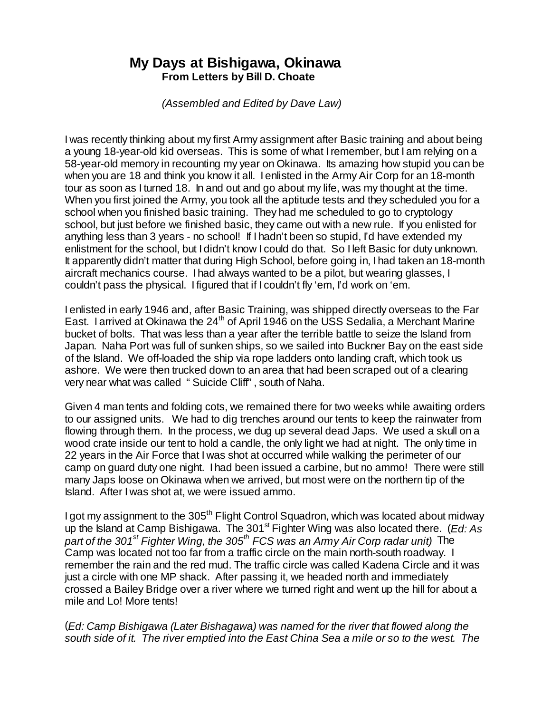## **My Days at Bishigawa, Okinawa From Letters by Bill D. Choate**

 *(Assembled and Edited by Dave Law)* 

I was recently thinking about my first Army assignment after Basic training and about being a young 18-year-old kid overseas. This is some of what I remember, but I am relying on a 58-year-old memory in recounting my year on Okinawa. Its amazing how stupid you can be when you are 18 and think you know it all. I enlisted in the Army Air Corp for an 18-month tour as soon as I turned 18. In and out and go about my life, was my thought at the time. When you first joined the Army, you took all the aptitude tests and they scheduled you for a school when you finished basic training. They had me scheduled to go to cryptology school, but just before we finished basic, they came out with a new rule. If you enlisted for anything less than 3 years - no school! If I hadn't been so stupid, I'd have extended my enlistment for the school, but I didn't know I could do that. So I left Basic for duty unknown. It apparently didn't matter that during High School, before going in, I had taken an 18-month aircraft mechanics course. I had always wanted to be a pilot, but wearing glasses, I couldn't pass the physical. I figured that if I couldn't fly 'em, I'd work on 'em.

I enlisted in early 1946 and, after Basic Training, was shipped directly overseas to the Far East. I arrived at Okinawa the  $24<sup>th</sup>$  of April 1946 on the USS Sedalia, a Merchant Marine bucket of bolts. That was less than a year after the terrible battle to seize the Island from Japan. Naha Port was full of sunken ships, so we sailed into Buckner Bay on the east side of the Island. We off-loaded the ship via rope ladders onto landing craft, which took us ashore. We were then trucked down to an area that had been scraped out of a clearing very near what was called "Suicide Cliff", south of Naha.

Given 4 man tents and folding cots, we remained there for two weeks while awaiting orders to our assigned units. We had to dig trenches around our tents to keep the rainwater from flowing through them. In the process, we dug up several dead Japs. We used a skull on a wood crate inside our tent to hold a candle, the only light we had at night. The only time in 22 years in the Air Force that I was shot at occurred while walking the perimeter of our camp on guard duty one night. I had been issued a carbine, but no ammo! There were still many Japs loose on Okinawa when we arrived, but most were on the northern tip of the Island. After I was shot at, we were issued ammo.

I got my assignment to the 305<sup>th</sup> Flight Control Squadron, which was located about midway up the Island at Camp Bishigawa. The 301<sup>st</sup> Fighter Wing was also located there. (*Ed: As part of the 301st Fighter Wing, the 305th FCS was an Army Air Corp radar unit)* The Camp was located not too far from a traffic circle on the main north-south roadway. I remember the rain and the red mud. The traffic circle was called Kadena Circle and it was just a circle with one MP shack. After passing it, we headed north and immediately crossed a Bailey Bridge over a river where we turned right and went up the hill for about a mile and Lo! More tents!

(*Ed: Camp Bishigawa (Later Bishagawa) was named for the river that flowed along the south side of it. The river emptied into the East China Sea a mile or so to the west. The*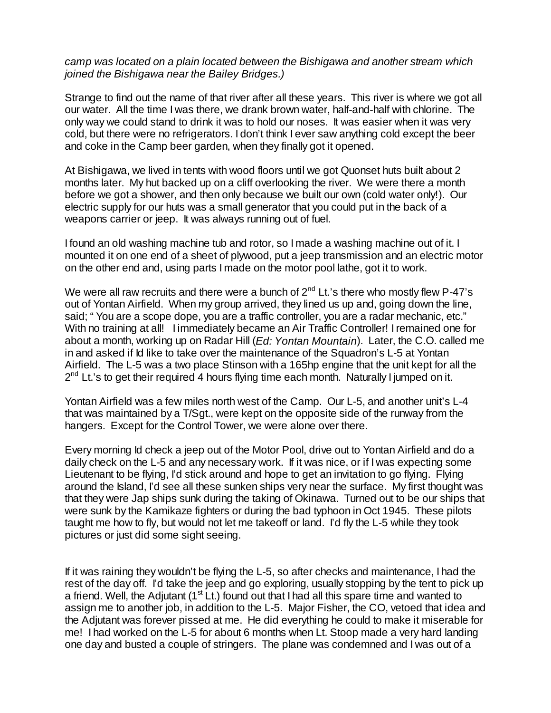*camp was located on a plain located between the Bishigawa and another stream which joined the Bishigawa near the Bailey Bridges.)*

Strange to find out the name of that river after all these years. This river is where we got all our water. All the time I was there, we drank brown water, half-and-half with chlorine. The only way we could stand to drink it was to hold our noses. It was easier when it was very cold, but there were no refrigerators. I don't think I ever saw anything cold except the beer and coke in the Camp beer garden, when they finally got it opened.

At Bishigawa, we lived in tents with wood floors until we got Quonset huts built about 2 months later. My hut backed up on a cliff overlooking the river. We were there a month before we got a shower, and then only because we built our own (cold water only!). Our electric supply for our huts was a small generator that you could put in the back of a weapons carrier or jeep. It was always running out of fuel.

I found an old washing machine tub and rotor, so I made a washing machine out of it. I mounted it on one end of a sheet of plywood, put a jeep transmission and an electric motor on the other end and, using parts I made on the motor pool lathe, got it to work.

We were all raw recruits and there were a bunch of  $2^{nd}$  Lt.'s there who mostly flew P-47's out of Yontan Airfield. When my group arrived, they lined us up and, going down the line, said; "You are a scope dope, you are a traffic controller, you are a radar mechanic, etc." With no training at all! I immediately became an Air Traffic Controller! I remained one for about a month, working up on Radar Hill (*Ed: Yontan Mountain*). Later, the C.O. called me in and asked if Id like to take over the maintenance of the Squadron's L-5 at Yontan Airfield. The L-5 was a two place Stinson with a 165hp engine that the unit kept for all the 2<sup>nd</sup> Lt.'s to get their required 4 hours flying time each month. Naturally I jumped on it.

Yontan Airfield was a few miles north west of the Camp. Our L-5, and another unit's L-4 that was maintained by a T/Sgt., were kept on the opposite side of the runway from the hangers. Except for the Control Tower, we were alone over there.

Every morning Id check a jeep out of the Motor Pool, drive out to Yontan Airfield and do a daily check on the L-5 and any necessary work. If it was nice, or if I was expecting some Lieutenant to be flying, I'd stick around and hope to get an invitation to go flying. Flying around the Island, I'd see all these sunken ships very near the surface. My first thought was that they were Jap ships sunk during the taking of Okinawa. Turned out to be our ships that were sunk by the Kamikaze fighters or during the bad typhoon in Oct 1945. These pilots taught me how to fly, but would not let me takeoff or land. I'd fly the L-5 while they took pictures or just did some sight seeing.

If it was raining they wouldn't be flying the L-5, so after checks and maintenance, I had the rest of the day off. I'd take the jeep and go exploring, usually stopping by the tent to pick up a friend. Well, the Adjutant  $(1<sup>st</sup> Lt.)$  found out that I had all this spare time and wanted to assign me to another job, in addition to the L-5. Major Fisher, the CO, vetoed that idea and the Adjutant was forever pissed at me. He did everything he could to make it miserable for me! I had worked on the L-5 for about 6 months when Lt. Stoop made a very hard landing one day and busted a couple of stringers. The plane was condemned and I was out of a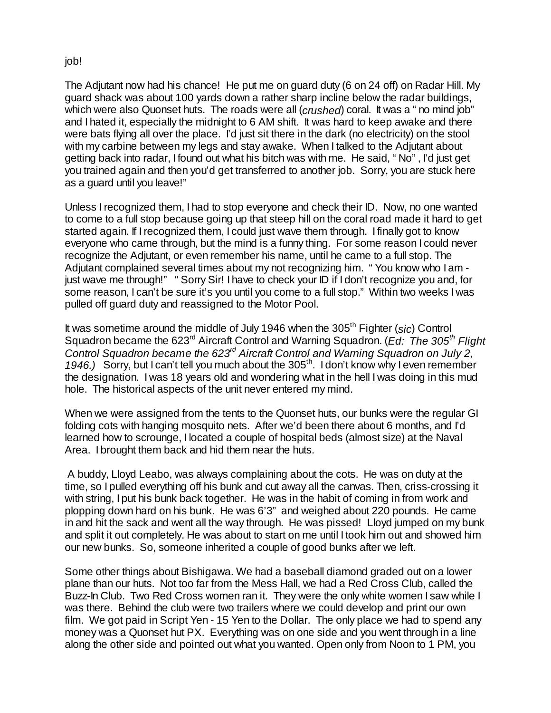## job!

The Adjutant now had his chance! He put me on guard duty (6 on 24 off) on Radar Hill. My guard shack was about 100 yards down a rather sharp incline below the radar buildings, which were also Quonset huts. The roads were all (*crushed*) coral. It was a "no mind job" and I hated it, especially the midnight to 6 AM shift. It was hard to keep awake and there were bats flying all over the place. I'd just sit there in the dark (no electricity) on the stool with my carbine between my legs and stay awake. When I talked to the Adjutant about getting back into radar, I found out what his bitch was with me. He said, "No", I'd just get you trained again and then you'd get transferred to another job. Sorry, you are stuck here as a guard until you leave!"

Unless I recognized them, I had to stop everyone and check their ID. Now, no one wanted to come to a full stop because going up that steep hill on the coral road made it hard to get started again. If I recognized them, I could just wave them through. I finally got to know everyone who came through, but the mind is a funny thing. For some reason I could never recognize the Adjutant, or even remember his name, until he came to a full stop. The Adjutant complained several times about my not recognizing him. "You know who I am just wave me through!" "Sorry Sir! I have to check your ID if I don't recognize you and, for some reason, I can't be sure it's you until you come to a full stop." Within two weeks I was pulled off guard duty and reassigned to the Motor Pool.

It was sometime around the middle of July 1946 when the 305<sup>th</sup> Fighter (*sic*) Control Squadron became the 623rd Aircraft Control and Warning Squadron. (*Ed: The 305th Flight Control Squadron became the 623rd Aircraft Control and Warning Squadron on July 2,*  1946.) Sorry, but I can't tell you much about the 305<sup>th</sup>. I don't know why I even remember the designation. I was 18 years old and wondering what in the hell I was doing in this mud hole. The historical aspects of the unit never entered my mind.

When we were assigned from the tents to the Quonset huts, our bunks were the regular GI folding cots with hanging mosquito nets. After we'd been there about 6 months, and I'd learned how to scrounge, I located a couple of hospital beds (almost size) at the Naval Area. I brought them back and hid them near the huts.

 A buddy, Lloyd Leabo, was always complaining about the cots. He was on duty at the time, so I pulled everything off his bunk and cut away all the canvas. Then, criss-crossing it with string, I put his bunk back together. He was in the habit of coming in from work and plopping down hard on his bunk. He was 6'3" and weighed about 220 pounds. He came in and hit the sack and went all the way through. He was pissed! Lloyd jumped on my bunk and split it out completely. He was about to start on me until I took him out and showed him our new bunks. So, someone inherited a couple of good bunks after we left.

Some other things about Bishigawa. We had a baseball diamond graded out on a lower plane than our huts. Not too far from the Mess Hall, we had a Red Cross Club, called the Buzz-In Club. Two Red Cross women ran it. They were the only white women I saw while I was there. Behind the club were two trailers where we could develop and print our own film. We got paid in Script Yen - 15 Yen to the Dollar. The only place we had to spend any money was a Quonset hut PX. Everything was on one side and you went through in a line along the other side and pointed out what you wanted. Open only from Noon to 1 PM, you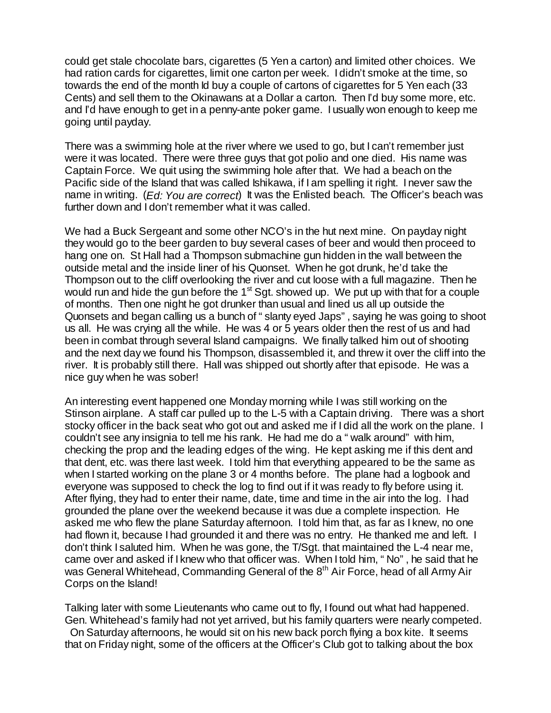could get stale chocolate bars, cigarettes (5 Yen a carton) and limited other choices. We had ration cards for cigarettes, limit one carton per week. I didn't smoke at the time, so towards the end of the month Id buy a couple of cartons of cigarettes for 5 Yen each (33 Cents) and sell them to the Okinawans at a Dollar a carton. Then I'd buy some more, etc. and I'd have enough to get in a penny-ante poker game. I usually won enough to keep me going until payday.

There was a swimming hole at the river where we used to go, but I can't remember just were it was located. There were three guys that got polio and one died. His name was Captain Force. We quit using the swimming hole after that. We had a beach on the Pacific side of the Island that was called Ishikawa, if I am spelling it right. I never saw the name in writing. (*Ed: You are correct*) It was the Enlisted beach. The Officer's beach was further down and I don't remember what it was called.

We had a Buck Sergeant and some other NCO's in the hut next mine. On payday night they would go to the beer garden to buy several cases of beer and would then proceed to hang one on. St Hall had a Thompson submachine gun hidden in the wall between the outside metal and the inside liner of his Quonset. When he got drunk, he'd take the Thompson out to the cliff overlooking the river and cut loose with a full magazine. Then he would run and hide the gun before the 1<sup>st</sup> Sgt. showed up. We put up with that for a couple of months. Then one night he got drunker than usual and lined us all up outside the Quonsets and began calling us a bunch of "slanty eyed Japs", saying he was going to shoot us all. He was crying all the while. He was 4 or 5 years older then the rest of us and had been in combat through several Island campaigns. We finally talked him out of shooting and the next day we found his Thompson, disassembled it, and threw it over the cliff into the river. It is probably still there. Hall was shipped out shortly after that episode. He was a nice guy when he was sober!

An interesting event happened one Monday morning while I was still working on the Stinson airplane. A staff car pulled up to the L-5 with a Captain driving. There was a short stocky officer in the back seat who got out and asked me if I did all the work on the plane. I couldn't see any insignia to tell me his rank. He had me do a "walk around" with him, checking the prop and the leading edges of the wing. He kept asking me if this dent and that dent, etc. was there last week. I told him that everything appeared to be the same as when I started working on the plane 3 or 4 months before. The plane had a logbook and everyone was supposed to check the log to find out if it was ready to fly before using it. After flying, they had to enter their name, date, time and time in the air into the log. I had grounded the plane over the weekend because it was due a complete inspection. He asked me who flew the plane Saturday afternoon. I told him that, as far as I knew, no one had flown it, because I had grounded it and there was no entry. He thanked me and left. I don't think I saluted him. When he was gone, the T/Sgt. that maintained the L-4 near me, came over and asked if I knew who that officer was. When I told him, "No", he said that he was General Whitehead, Commanding General of the 8<sup>th</sup> Air Force, head of all Army Air Corps on the Island!

Talking later with some Lieutenants who came out to fly, I found out what had happened. Gen. Whitehead's family had not yet arrived, but his family quarters were nearly competed.

 On Saturday afternoons, he would sit on his new back porch flying a box kite. It seems that on Friday night, some of the officers at the Officer's Club got to talking about the box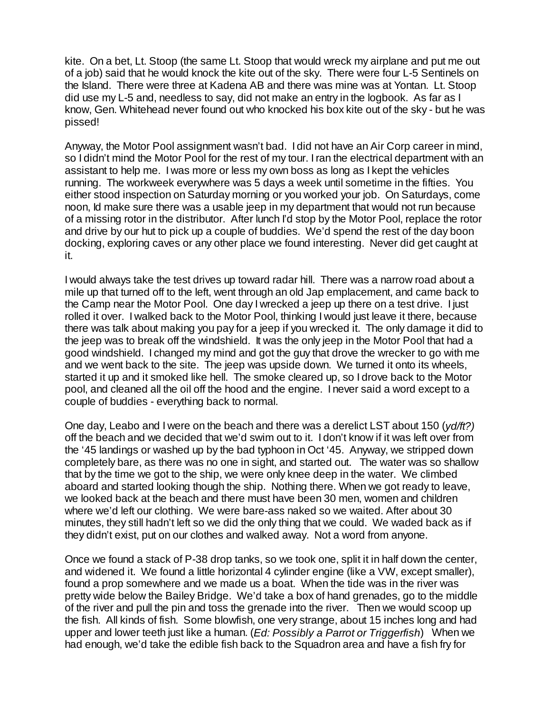kite. On a bet, Lt. Stoop (the same Lt. Stoop that would wreck my airplane and put me out of a job) said that he would knock the kite out of the sky. There were four L-5 Sentinels on the Island. There were three at Kadena AB and there was mine was at Yontan. Lt. Stoop did use my L-5 and, needless to say, did not make an entry in the logbook. As far as I know, Gen. Whitehead never found out who knocked his box kite out of the sky - but he was pissed!

Anyway, the Motor Pool assignment wasn't bad. I did not have an Air Corp career in mind, so I didn't mind the Motor Pool for the rest of my tour. I ran the electrical department with an assistant to help me. I was more or less my own boss as long as I kept the vehicles running. The workweek everywhere was 5 days a week until sometime in the fifties. You either stood inspection on Saturday morning or you worked your job. On Saturdays, come noon, Id make sure there was a usable jeep in my department that would not run because of a missing rotor in the distributor. After lunch I'd stop by the Motor Pool, replace the rotor and drive by our hut to pick up a couple of buddies. We'd spend the rest of the day boon docking, exploring caves or any other place we found interesting. Never did get caught at it.

I would always take the test drives up toward radar hill. There was a narrow road about a mile up that turned off to the left, went through an old Jap emplacement, and came back to the Camp near the Motor Pool. One day I wrecked a jeep up there on a test drive. I just rolled it over. I walked back to the Motor Pool, thinking I would just leave it there, because there was talk about making you pay for a jeep if you wrecked it. The only damage it did to the jeep was to break off the windshield. It was the only jeep in the Motor Pool that had a good windshield. I changed my mind and got the guy that drove the wrecker to go with me and we went back to the site. The jeep was upside down. We turned it onto its wheels, started it up and it smoked like hell. The smoke cleared up, so I drove back to the Motor pool, and cleaned all the oil off the hood and the engine. I never said a word except to a couple of buddies - everything back to normal.

One day, Leabo and I were on the beach and there was a derelict LST about 150 (*yd/ft?)*  off the beach and we decided that we'd swim out to it. I don't know if it was left over from the '45 landings or washed up by the bad typhoon in Oct '45. Anyway, we stripped down completely bare, as there was no one in sight, and started out. The water was so shallow that by the time we got to the ship, we were only knee deep in the water. We climbed aboard and started looking though the ship. Nothing there. When we got ready to leave, we looked back at the beach and there must have been 30 men, women and children where we'd left our clothing. We were bare-ass naked so we waited. After about 30 minutes, they still hadn't left so we did the only thing that we could. We waded back as if they didn't exist, put on our clothes and walked away. Not a word from anyone.

Once we found a stack of P-38 drop tanks, so we took one, split it in half down the center, and widened it. We found a little horizontal 4 cylinder engine (like a VW, except smaller), found a prop somewhere and we made us a boat. When the tide was in the river was pretty wide below the Bailey Bridge. We'd take a box of hand grenades, go to the middle of the river and pull the pin and toss the grenade into the river. Then we would scoop up the fish. All kinds of fish. Some blowfish, one very strange, about 15 inches long and had upper and lower teeth just like a human. (*Ed: Possibly a Parrot or Triggerfish*) When we had enough, we'd take the edible fish back to the Squadron area and have a fish fry for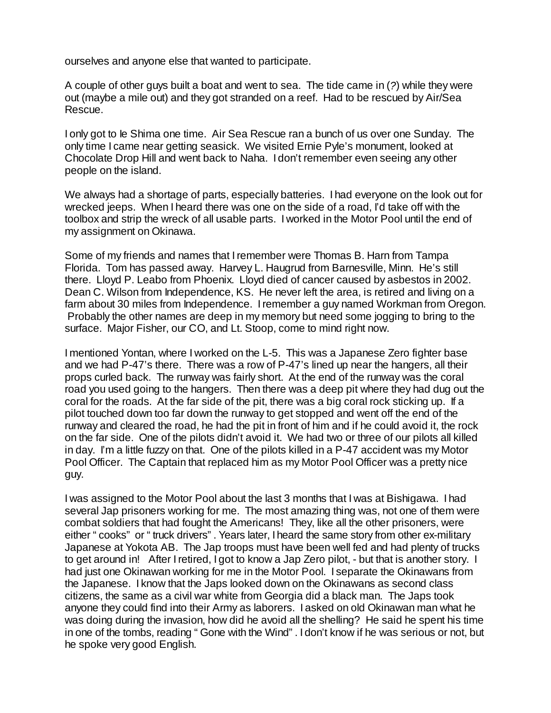ourselves and anyone else that wanted to participate.

A couple of other guys built a boat and went to sea. The tide came in (*?*) while they were out (maybe a mile out) and they got stranded on a reef. Had to be rescued by Air/Sea Rescue.

I only got to Ie Shima one time. Air Sea Rescue ran a bunch of us over one Sunday. The only time I came near getting seasick. We visited Ernie Pyle's monument, looked at Chocolate Drop Hill and went back to Naha. I don't remember even seeing any other people on the island.

We always had a shortage of parts, especially batteries. I had everyone on the look out for wrecked jeeps. When I heard there was one on the side of a road, I'd take off with the toolbox and strip the wreck of all usable parts. I worked in the Motor Pool until the end of my assignment on Okinawa.

Some of my friends and names that I remember were Thomas B. Harn from Tampa Florida. Tom has passed away. Harvey L. Haugrud from Barnesville, Minn. He's still there. Lloyd P. Leabo from Phoenix. Lloyd died of cancer caused by asbestos in 2002. Dean C. Wilson from Independence, KS. He never left the area, is retired and living on a farm about 30 miles from Independence. I remember a guy named Workman from Oregon. Probably the other names are deep in my memory but need some jogging to bring to the surface. Major Fisher, our CO, and Lt. Stoop, come to mind right now.

I mentioned Yontan, where I worked on the L-5. This was a Japanese Zero fighter base and we had P-47's there. There was a row of P-47's lined up near the hangers, all their props curled back. The runway was fairly short. At the end of the runway was the coral road you used going to the hangers. Then there was a deep pit where they had dug out the coral for the roads. At the far side of the pit, there was a big coral rock sticking up. If a pilot touched down too far down the runway to get stopped and went off the end of the runway and cleared the road, he had the pit in front of him and if he could avoid it, the rock on the far side. One of the pilots didn't avoid it. We had two or three of our pilots all killed in day. I'm a little fuzzy on that. One of the pilots killed in a P-47 accident was my Motor Pool Officer. The Captain that replaced him as my Motor Pool Officer was a pretty nice guy.

I was assigned to the Motor Pool about the last 3 months that I was at Bishigawa. I had several Jap prisoners working for me. The most amazing thing was, not one of them were combat soldiers that had fought the Americans! They, like all the other prisoners, were either "cooks" or "truck drivers". Years later, I heard the same story from other ex-military Japanese at Yokota AB. The Jap troops must have been well fed and had plenty of trucks to get around in! After I retired, I got to know a Jap Zero pilot, - but that is another story. I had just one Okinawan working for me in the Motor Pool. I separate the Okinawans from the Japanese. I know that the Japs looked down on the Okinawans as second class citizens, the same as a civil war white from Georgia did a black man. The Japs took anyone they could find into their Army as laborers. I asked on old Okinawan man what he was doing during the invasion, how did he avoid all the shelling? He said he spent his time in one of the tombs, reading "Gone with the Wind". I don't know if he was serious or not, but he spoke very good English.